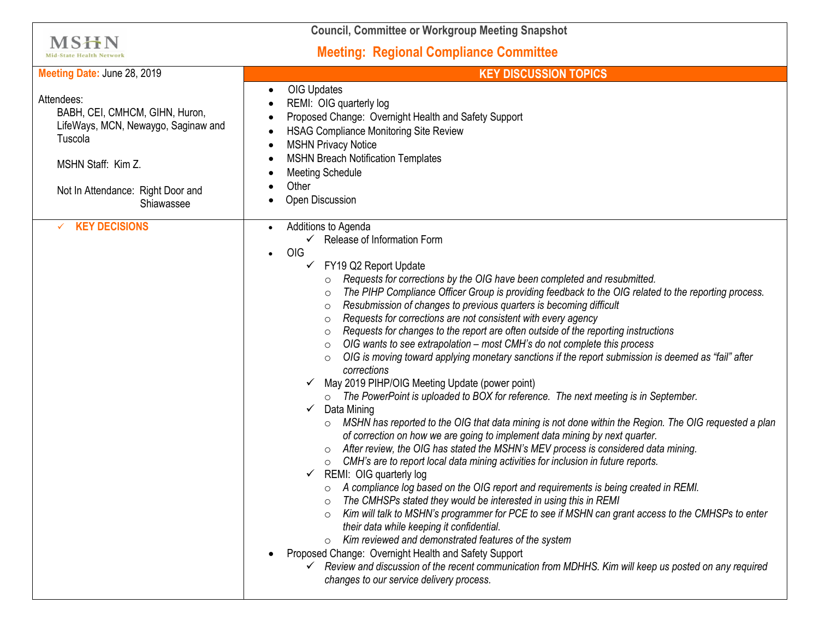| <b>Council, Committee or Workgroup Meeting Snapshot</b>                                                                                                                 |                                                                                                                                                                                                                                                                                                                                                                                                                                                                                                                                                                                                                                                                                                                                                                                                                                                                                                                                                                                                                                                                                                                                                                                                                                                                                                                                                                                                                                                                                                                                                                                                                                                                                                                                                                                                                                                                                                                                                                                                    |
|-------------------------------------------------------------------------------------------------------------------------------------------------------------------------|----------------------------------------------------------------------------------------------------------------------------------------------------------------------------------------------------------------------------------------------------------------------------------------------------------------------------------------------------------------------------------------------------------------------------------------------------------------------------------------------------------------------------------------------------------------------------------------------------------------------------------------------------------------------------------------------------------------------------------------------------------------------------------------------------------------------------------------------------------------------------------------------------------------------------------------------------------------------------------------------------------------------------------------------------------------------------------------------------------------------------------------------------------------------------------------------------------------------------------------------------------------------------------------------------------------------------------------------------------------------------------------------------------------------------------------------------------------------------------------------------------------------------------------------------------------------------------------------------------------------------------------------------------------------------------------------------------------------------------------------------------------------------------------------------------------------------------------------------------------------------------------------------------------------------------------------------------------------------------------------------|
| <b>MSHN</b><br><b>Mid-State Health Network</b>                                                                                                                          | <b>Meeting: Regional Compliance Committee</b>                                                                                                                                                                                                                                                                                                                                                                                                                                                                                                                                                                                                                                                                                                                                                                                                                                                                                                                                                                                                                                                                                                                                                                                                                                                                                                                                                                                                                                                                                                                                                                                                                                                                                                                                                                                                                                                                                                                                                      |
| Meeting Date: June 28, 2019                                                                                                                                             | <b>KEY DISCUSSION TOPICS</b>                                                                                                                                                                                                                                                                                                                                                                                                                                                                                                                                                                                                                                                                                                                                                                                                                                                                                                                                                                                                                                                                                                                                                                                                                                                                                                                                                                                                                                                                                                                                                                                                                                                                                                                                                                                                                                                                                                                                                                       |
| Attendees:<br>BABH, CEI, CMHCM, GIHN, Huron,<br>LifeWays, MCN, Newaygo, Saginaw and<br>Tuscola<br>MSHN Staff: Kim Z.<br>Not In Attendance: Right Door and<br>Shiawassee | OIG Updates<br>REMI: OIG quarterly log<br>Proposed Change: Overnight Health and Safety Support<br><b>HSAG Compliance Monitoring Site Review</b><br><b>MSHN Privacy Notice</b><br><b>MSHN Breach Notification Templates</b><br><b>Meeting Schedule</b><br>Other<br>Open Discussion                                                                                                                                                                                                                                                                                                                                                                                                                                                                                                                                                                                                                                                                                                                                                                                                                                                                                                                                                                                                                                                                                                                                                                                                                                                                                                                                                                                                                                                                                                                                                                                                                                                                                                                  |
| <b>KEY DECISIONS</b><br>✓                                                                                                                                               | Additions to Agenda<br>$\checkmark$ Release of Information Form<br>OIG<br>$\bullet$<br>FY19 Q2 Report Update<br>Requests for corrections by the OIG have been completed and resubmitted.<br>$\circ$<br>The PIHP Compliance Officer Group is providing feedback to the OIG related to the reporting process.<br>$\circ$<br>Resubmission of changes to previous quarters is becoming difficult<br>$\circ$<br>Requests for corrections are not consistent with every agency<br>$\circ$<br>Requests for changes to the report are often outside of the reporting instructions<br>$\circ$<br>OIG wants to see extrapolation - most CMH's do not complete this process<br>$\circ$<br>OIG is moving toward applying monetary sanctions if the report submission is deemed as "fail" after<br>corrections<br>May 2019 PIHP/OIG Meeting Update (power point)<br>✓<br>o The PowerPoint is uploaded to BOX for reference. The next meeting is in September.<br>Data Mining<br>✓<br>MSHN has reported to the OIG that data mining is not done within the Region. The OIG requested a plan<br>of correction on how we are going to implement data mining by next quarter.<br>After review, the OIG has stated the MSHN's MEV process is considered data mining.<br>CMH's are to report local data mining activities for inclusion in future reports.<br>REMI: OIG quarterly log<br>A compliance log based on the OIG report and requirements is being created in REMI.<br>The CMHSPs stated they would be interested in using this in REMI<br>$\circ$<br>Kim will talk to MSHN's programmer for PCE to see if MSHN can grant access to the CMHSPs to enter<br>$\circ$<br>their data while keeping it confidential.<br>Kim reviewed and demonstrated features of the system<br>$\circ$<br>Proposed Change: Overnight Health and Safety Support<br>$\checkmark$ Review and discussion of the recent communication from MDHHS. Kim will keep us posted on any required<br>changes to our service delivery process. |